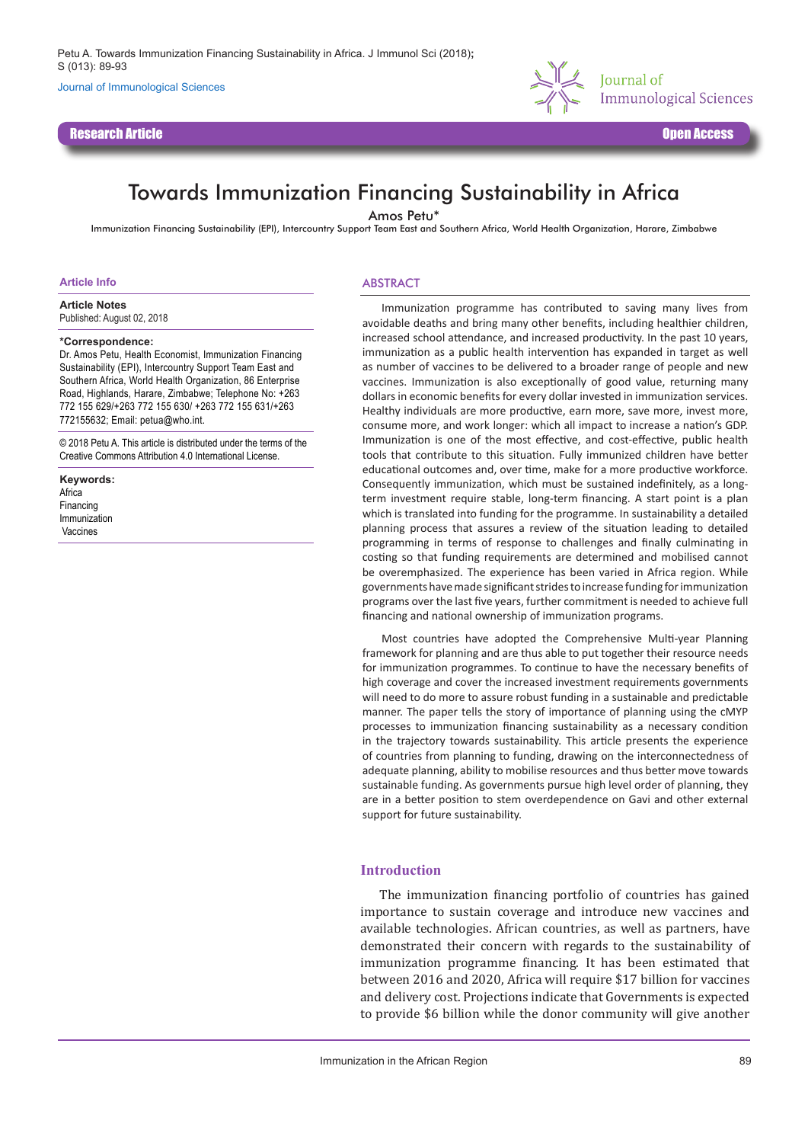Journal of Immunological Sciences

Research Article Open Access



# Towards Immunization Financing Sustainability in Africa

Amos Petu\*

Immunization Financing Sustainability (EPI), Intercountry Support Team East and Southern Africa, World Health Organization, Harare, Zimbabwe

#### **Article Info**

**Article Notes**

Published: August 02, 2018

#### **\*Correspondence:**

Dr. Amos Petu, Health Economist, Immunization Financing Sustainability (EPI), Intercountry Support Team East and Southern Africa, World Health Organization, 86 Enterprise Road, Highlands, Harare, Zimbabwe; Telephone No: +263 772 155 629/+263 772 155 630/ +263 772 155 631/+263 772155632; Email: petua@who.int.

© 2018 Petu A. This article is distributed under the terms of the Creative Commons Attribution 4.0 International License.

**Keywords:** Africa Financing Immunization Vaccines

### ABSTRACT

Immunization programme has contributed to saving many lives from avoidable deaths and bring many other benefits, including healthier children, increased school attendance, and increased productivity. In the past 10 years, immunization as a public health intervention has expanded in target as well as number of vaccines to be delivered to a broader range of people and new vaccines. Immunization is also exceptionally of good value, returning many dollars in economic benefits for every dollar invested in immunization services. Healthy individuals are more productive, earn more, save more, invest more, consume more, and work longer: which all impact to increase a nation's GDP. Immunization is one of the most effective, and cost-effective, public health tools that contribute to this situation. Fully immunized children have better educational outcomes and, over time, make for a more productive workforce. Consequently immunization, which must be sustained indefinitely, as a longterm investment require stable, long-term financing. A start point is a plan which is translated into funding for the programme. In sustainability a detailed planning process that assures a review of the situation leading to detailed programming in terms of response to challenges and finally culminating in costing so that funding requirements are determined and mobilised cannot be overemphasized. The experience has been varied in Africa region. While governments have made significant strides to increase funding for immunization programs over the last five years, further commitment is needed to achieve full financing and national ownership of immunization programs.

Most countries have adopted the Comprehensive Multi-year Planning framework for planning and are thus able to put together their resource needs for immunization programmes. To continue to have the necessary benefits of high coverage and cover the increased investment requirements governments will need to do more to assure robust funding in a sustainable and predictable manner. The paper tells the story of importance of planning using the cMYP processes to immunization financing sustainability as a necessary condition in the trajectory towards sustainability. This article presents the experience of countries from planning to funding, drawing on the interconnectedness of adequate planning, ability to mobilise resources and thus better move towards sustainable funding. As governments pursue high level order of planning, they are in a better position to stem overdependence on Gavi and other external support for future sustainability.

## **Introduction**

The immunization financing portfolio of countries has gained importance to sustain coverage and introduce new vaccines and available technologies. African countries, as well as partners, have demonstrated their concern with regards to the sustainability of immunization programme financing. It has been estimated that between 2016 and 2020, Africa will require \$17 billion for vaccines and delivery cost. Projections indicate that Governments is expected to provide \$6 billion while the donor community will give another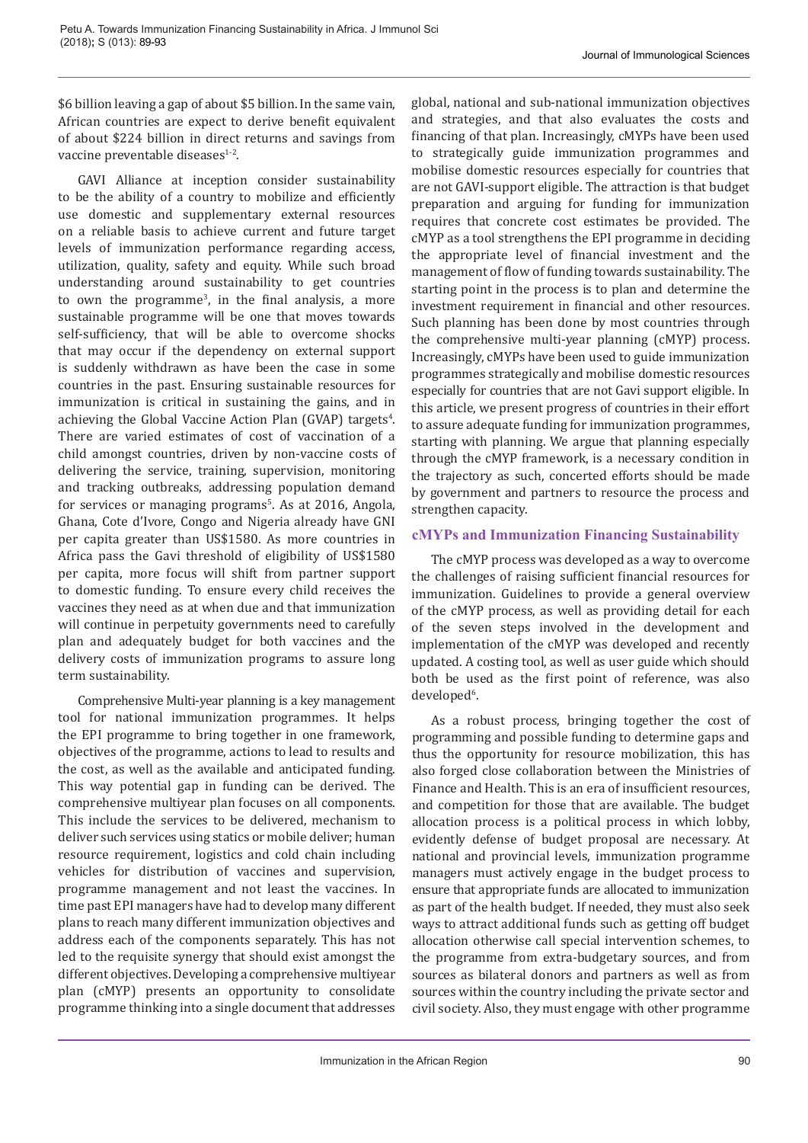\$6 billion leaving a gap of about \$5 billion. In the same vain, African countries are expect to derive benefit equivalent of about \$224 billion in direct returns and savings from vaccine preventable diseases<sup>1-2</sup>.

GAVI Alliance at inception consider sustainability to be the ability of a country to mobilize and efficiently use domestic and supplementary external resources on a reliable basis to achieve current and future target levels of immunization performance regarding access, utilization, quality, safety and equity. While such broad understanding around sustainability to get countries to own the programme<sup>3</sup> , in the final analysis, a more sustainable programme will be one that moves towards self-sufficiency, that will be able to overcome shocks that may occur if the dependency on external support is suddenly withdrawn as have been the case in some countries in the past. Ensuring sustainable resources for immunization is critical in sustaining the gains, and in achieving the Global Vaccine Action Plan (GVAP) targets<sup>4</sup>. There are varied estimates of cost of vaccination of a child amongst countries, driven by non-vaccine costs of delivering the service, training, supervision, monitoring and tracking outbreaks, addressing population demand for services or managing programs<sup>5</sup>. As at 2016, Angola, Ghana, Cote d'Ivore, Congo and Nigeria already have GNI per capita greater than US\$1580. As more countries in Africa pass the Gavi threshold of eligibility of US\$1580 per capita, more focus will shift from partner support to domestic funding. To ensure every child receives the vaccines they need as at when due and that immunization will continue in perpetuity governments need to carefully plan and adequately budget for both vaccines and the delivery costs of immunization programs to assure long term sustainability.

Comprehensive Multi-year planning is a key management tool for national immunization programmes. It helps the EPI programme to bring together in one framework, objectives of the programme, actions to lead to results and the cost, as well as the available and anticipated funding. This way potential gap in funding can be derived. The comprehensive multiyear plan focuses on all components. This include the services to be delivered, mechanism to deliver such services using statics or mobile deliver; human resource requirement, logistics and cold chain including vehicles for distribution of vaccines and supervision, programme management and not least the vaccines. In time past EPI managers have had to develop many different plans to reach many different immunization objectives and address each of the components separately. This has not led to the requisite synergy that should exist amongst the different objectives. Developing a comprehensive multiyear plan (cMYP) presents an opportunity to consolidate programme thinking into a single document that addresses

global, national and sub-national immunization objectives and strategies, and that also evaluates the costs and financing of that plan. Increasingly, cMYPs have been used to strategically guide immunization programmes and mobilise domestic resources especially for countries that are not GAVI-support eligible. The attraction is that budget preparation and arguing for funding for immunization requires that concrete cost estimates be provided. The cMYP as a tool strengthens the EPI programme in deciding the appropriate level of financial investment and the management of flow of funding towards sustainability. The starting point in the process is to plan and determine the investment requirement in financial and other resources. Such planning has been done by most countries through the comprehensive multi-year planning (cMYP) process. Increasingly, cMYPs have been used to guide immunization programmes strategically and mobilise domestic resources especially for countries that are not Gavi support eligible. In this article, we present progress of countries in their effort to assure adequate funding for immunization programmes, starting with planning. We argue that planning especially through the cMYP framework, is a necessary condition in the trajectory as such, concerted efforts should be made by government and partners to resource the process and strengthen capacity.

# **cMYPs and Immunization Financing Sustainability**

The cMYP process was developed as a way to overcome the challenges of raising sufficient financial resources for immunization. Guidelines to provide a general overview of the cMYP process, as well as providing detail for each of the seven steps involved in the development and implementation of the cMYP was developed and recently updated. A costing tool, as well as user guide which should both be used as the first point of reference, was also developed<sup>6</sup>.

As a robust process, bringing together the cost of programming and possible funding to determine gaps and thus the opportunity for resource mobilization, this has also forged close collaboration between the Ministries of Finance and Health. This is an era of insufficient resources, and competition for those that are available. The budget allocation process is a political process in which lobby, evidently defense of budget proposal are necessary. At national and provincial levels, immunization programme managers must actively engage in the budget process to ensure that appropriate funds are allocated to immunization as part of the health budget. If needed, they must also seek ways to attract additional funds such as getting off budget allocation otherwise call special intervention schemes, to the programme from extra-budgetary sources, and from sources as bilateral donors and partners as well as from sources within the country including the private sector and civil society. Also, they must engage with other programme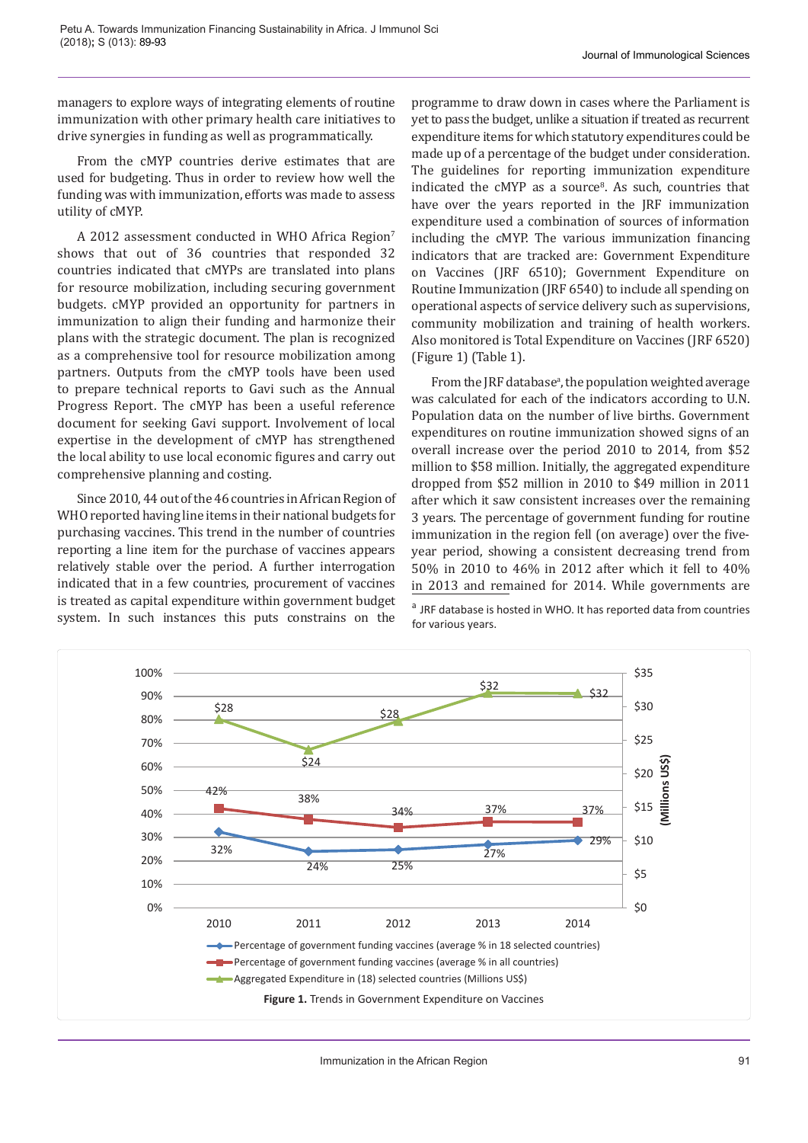managers to explore ways of integrating elements of routine immunization with other primary health care initiatives to drive synergies in funding as well as programmatically.

From the cMYP countries derive estimates that are used for budgeting. Thus in order to review how well the funding was with immunization, efforts was made to assess utility of cMYP.

A 2012 assessment conducted in WHO Africa Region7 shows that out of 36 countries that responded 32 countries indicated that cMYPs are translated into plans for resource mobilization, including securing government budgets. cMYP provided an opportunity for partners in immunization to align their funding and harmonize their plans with the strategic document. The plan is recognized as a comprehensive tool for resource mobilization among partners. Outputs from the cMYP tools have been used to prepare technical reports to Gavi such as the Annual Progress Report. The cMYP has been a useful reference document for seeking Gavi support. Involvement of local expertise in the development of cMYP has strengthened the local ability to use local economic figures and carry out comprehensive planning and costing.

Since 2010, 44 out of the 46 countries in African Region of WHO reported having line items in their national budgets for purchasing vaccines. This trend in the number of countries reporting a line item for the purchase of vaccines appears relatively stable over the period. A further interrogation indicated that in a few countries, procurement of vaccines is treated as capital expenditure within government budget system. In such instances this puts constrains on the

programme to draw down in cases where the Parliament is yet to pass the budget, unlike a situation if treated as recurrent expenditure items for which statutory expenditures could be made up of a percentage of the budget under consideration. The guidelines for reporting immunization expenditure indicated the cMYP as a source<sup>8</sup>. As such, countries that have over the years reported in the JRF immunization expenditure used a combination of sources of information including the cMYP. The various immunization financing indicators that are tracked are: Government Expenditure on Vaccines (JRF 6510); Government Expenditure on Routine Immunization (JRF 6540) to include all spending on operational aspects of service delivery such as supervisions, community mobilization and training of health workers. Also monitored is Total Expenditure on Vaccines (JRF 6520) (Figure 1) (Table 1).

From the JRF database<sup>a</sup>, the population weighted average was calculated for each of the indicators according to U.N. Population data on the number of live births. Government expenditures on routine immunization showed signs of an overall increase over the period 2010 to 2014, from \$52 million to \$58 million. Initially, the aggregated expenditure dropped from \$52 million in 2010 to \$49 million in 2011 after which it saw consistent increases over the remaining 3 years. The percentage of government funding for routine immunization in the region fell (on average) over the fiveyear period, showing a consistent decreasing trend from 50% in 2010 to 46% in 2012 after which it fell to 40% in 2013 and remained for 2014. While governments are

<sup>a</sup> JRF database is hosted in WHO. It has reported data from countries for various years.

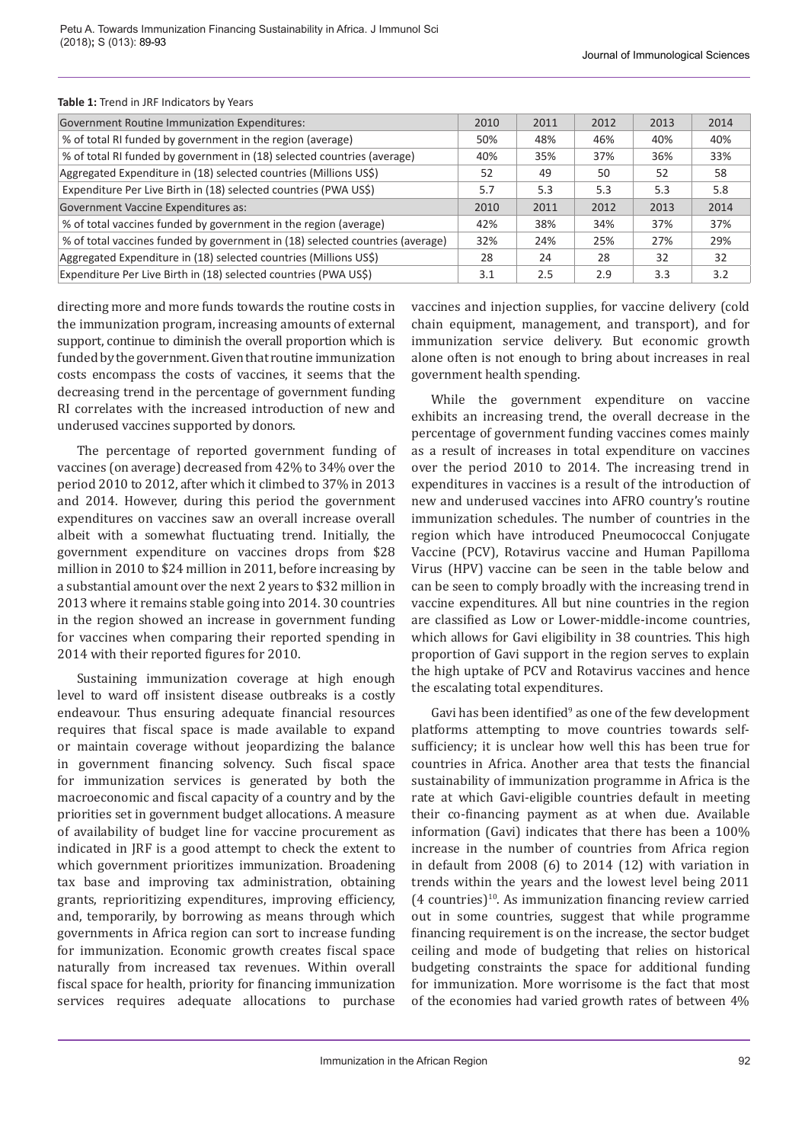| <b>Government Routine Immunization Expenditures:</b>                          | 2010 | 2011 | 2012 | 2013 | 2014 |
|-------------------------------------------------------------------------------|------|------|------|------|------|
| % of total RI funded by government in the region (average)                    | 50%  | 48%  | 46%  | 40%  | 40%  |
| % of total RI funded by government in (18) selected countries (average)       | 40%  | 35%  | 37%  | 36%  | 33%  |
| Aggregated Expenditure in (18) selected countries (Millions US\$)             | 52   | 49   | 50   | 52   | 58   |
| Expenditure Per Live Birth in (18) selected countries (PWA US\$)              | 5.7  | 5.3  | 5.3  | 5.3  | 5.8  |
| Government Vaccine Expenditures as:                                           | 2010 | 2011 | 2012 | 2013 | 2014 |
| % of total vaccines funded by government in the region (average)              | 42%  | 38%  | 34%  | 37%  | 37%  |
| % of total vaccines funded by government in (18) selected countries (average) | 32%  | 24%  | 25%  | 27%  | 29%  |
| Aggregated Expenditure in (18) selected countries (Millions US\$)             | 28   | 24   | 28   | 32   | 32   |
| Expenditure Per Live Birth in (18) selected countries (PWA US\$)              | 3.1  | 2.5  | 2.9  | 3.3  | 3.2  |

#### **Table 1:** Trend in JRF Indicators by Years

directing more and more funds towards the routine costs in the immunization program, increasing amounts of external support, continue to diminish the overall proportion which is funded by the government. Given that routine immunization costs encompass the costs of vaccines, it seems that the decreasing trend in the percentage of government funding RI correlates with the increased introduction of new and underused vaccines supported by donors.

The percentage of reported government funding of vaccines (on average) decreased from 42% to 34% over the period 2010 to 2012, after which it climbed to 37% in 2013 and 2014. However, during this period the government expenditures on vaccines saw an overall increase overall albeit with a somewhat fluctuating trend. Initially, the government expenditure on vaccines drops from \$28 million in 2010 to \$24 million in 2011, before increasing by a substantial amount over the next 2 years to \$32 million in 2013 where it remains stable going into 2014. 30 countries in the region showed an increase in government funding for vaccines when comparing their reported spending in 2014 with their reported figures for 2010.

Sustaining immunization coverage at high enough level to ward off insistent disease outbreaks is a costly endeavour. Thus ensuring adequate financial resources requires that fiscal space is made available to expand or maintain coverage without jeopardizing the balance in government financing solvency. Such fiscal space for immunization services is generated by both the macroeconomic and fiscal capacity of a country and by the priorities set in government budget allocations. A measure of availability of budget line for vaccine procurement as indicated in JRF is a good attempt to check the extent to which government prioritizes immunization. Broadening tax base and improving tax administration, obtaining grants, reprioritizing expenditures, improving efficiency, and, temporarily, by borrowing as means through which governments in Africa region can sort to increase funding for immunization. Economic growth creates fiscal space naturally from increased tax revenues. Within overall fiscal space for health, priority for financing immunization services requires adequate allocations to purchase

vaccines and injection supplies, for vaccine delivery (cold chain equipment, management, and transport), and for immunization service delivery. But economic growth alone often is not enough to bring about increases in real government health spending.

While the government expenditure on vaccine exhibits an increasing trend, the overall decrease in the percentage of government funding vaccines comes mainly as a result of increases in total expenditure on vaccines over the period 2010 to 2014. The increasing trend in expenditures in vaccines is a result of the introduction of new and underused vaccines into AFRO country's routine immunization schedules. The number of countries in the region which have introduced Pneumococcal Conjugate Vaccine (PCV), Rotavirus vaccine and Human Papilloma Virus (HPV) vaccine can be seen in the table below and can be seen to comply broadly with the increasing trend in vaccine expenditures. All but nine countries in the region are classified as Low or Lower-middle-income countries, which allows for Gavi eligibility in 38 countries. This high proportion of Gavi support in the region serves to explain the high uptake of PCV and Rotavirus vaccines and hence the escalating total expenditures.

Gavi has been identified<sup>9</sup> as one of the few development platforms attempting to move countries towards selfsufficiency; it is unclear how well this has been true for countries in Africa. Another area that tests the financial sustainability of immunization programme in Africa is the rate at which Gavi-eligible countries default in meeting their co-financing payment as at when due. Available information (Gavi) indicates that there has been a 100% increase in the number of countries from Africa region in default from 2008 (6) to 2014 (12) with variation in trends within the years and the lowest level being 2011  $(4$  countries)<sup>10</sup>. As immunization financing review carried out in some countries, suggest that while programme financing requirement is on the increase, the sector budget ceiling and mode of budgeting that relies on historical budgeting constraints the space for additional funding for immunization. More worrisome is the fact that most of the economies had varied growth rates of between 4%